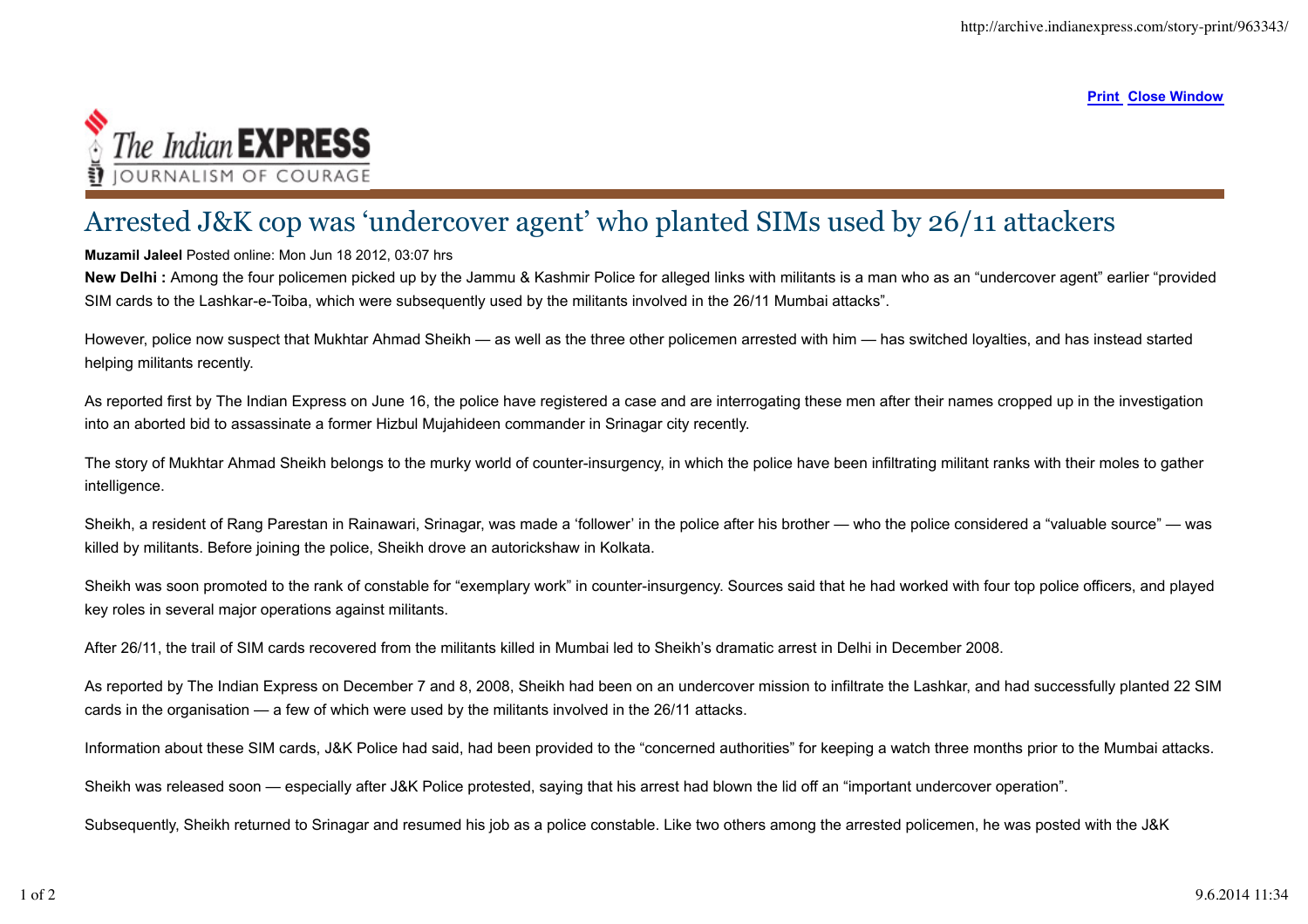**Print Close Window**



## Arrested J&K cop was 'undercover agent' who planted SIMs used by 26/11 attackers

## **Muzamil Jaleel** Posted online: Mon Jun 18 2012, 03:07 hrs

**New Delhi :** Among the four policemen picked up by the Jammu & Kashmir Police for alleged links with militants is a man who as an "undercover agent" earlier "provided SIM cards to the Lashkar-e-Toiba, which were subsequently used by the militants involved in the 26/11 Mumbai attacks".

However, police now suspect that Mukhtar Ahmad Sheikh — as well as the three other policemen arrested with him — has switched loyalties, and has instead started helping militants recently.

As reported first by The Indian Express on June 16, the police have registered a case and are interrogating these men after their names cropped up in the investigation into an aborted bid to assassinate a former Hizbul Mujahideen commander in Srinagar city recently.

The story of Mukhtar Ahmad Sheikh belongs to the murky world of counter-insurgency, in which the police have been infiltrating militant ranks with their moles to gather intelligence.

Sheikh, a resident of Rang Parestan in Rainawari, Srinagar, was made a 'follower' in the police after his brother — who the police considered a "valuable source" — was killed by militants. Before joining the police, Sheikh drove an autorickshaw in Kolkata.

Sheikh was soon promoted to the rank of constable for "exemplary work" in counter-insurgency. Sources said that he had worked with four top police officers, and played key roles in several major operations against militants.

After 26/11, the trail of SIM cards recovered from the militants killed in Mumbai led to Sheikh's dramatic arrest in Delhi in December 2008.

As reported by The Indian Express on December 7 and 8, 2008, Sheikh had been on an undercover mission to infiltrate the Lashkar, and had successfully planted 22 SIM cards in the organisation — a few of which were used by the militants involved in the 26/11 attacks.

Information about these SIM cards, J&K Police had said, had been provided to the "concerned authorities" for keeping a watch three months prior to the Mumbai attacks.

Sheikh was released soon — especially after J&K Police protested, saying that his arrest had blown the lid off an "important undercover operation".

Subsequently, Sheikh returned to Srinagar and resumed his job as a police constable. Like two others among the arrested policemen, he was posted with the J&K